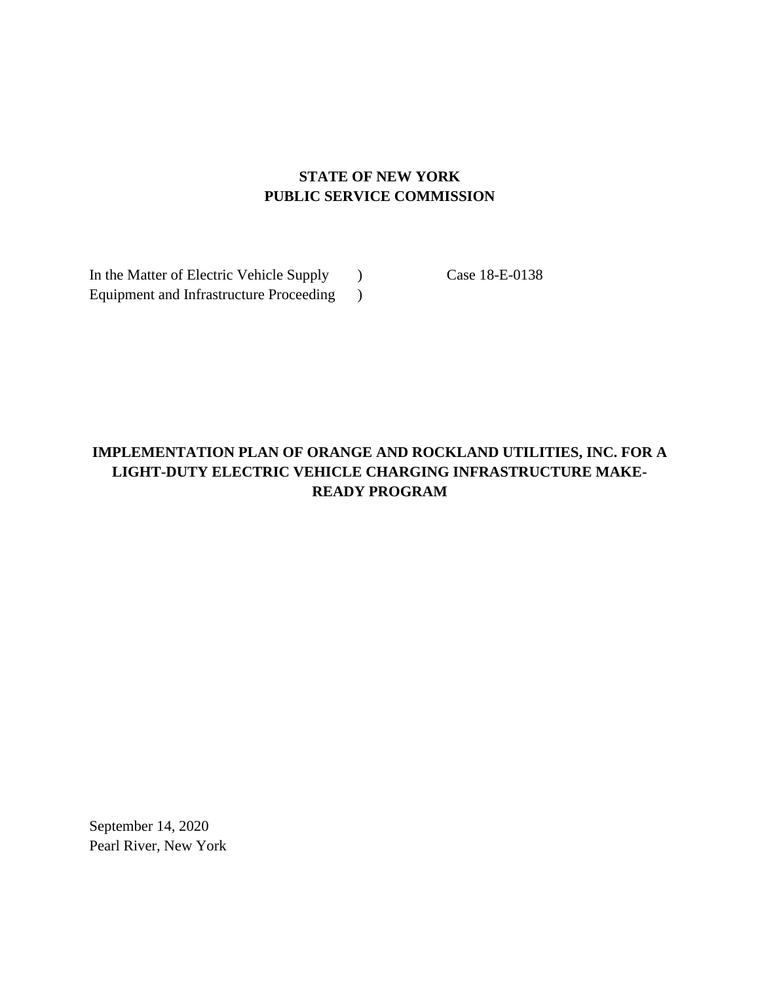# **STATE OF NEW YORK PUBLIC SERVICE COMMISSION**

In the Matter of Electric Vehicle Supply ) Case 18-E-0138 Equipment and Infrastructure Proceeding )

# **IMPLEMENTATION PLAN OF ORANGE AND ROCKLAND UTILITIES, INC. FOR A LIGHT-DUTY ELECTRIC VEHICLE CHARGING INFRASTRUCTURE MAKE-READY PROGRAM**

September 14, 2020 Pearl River, New York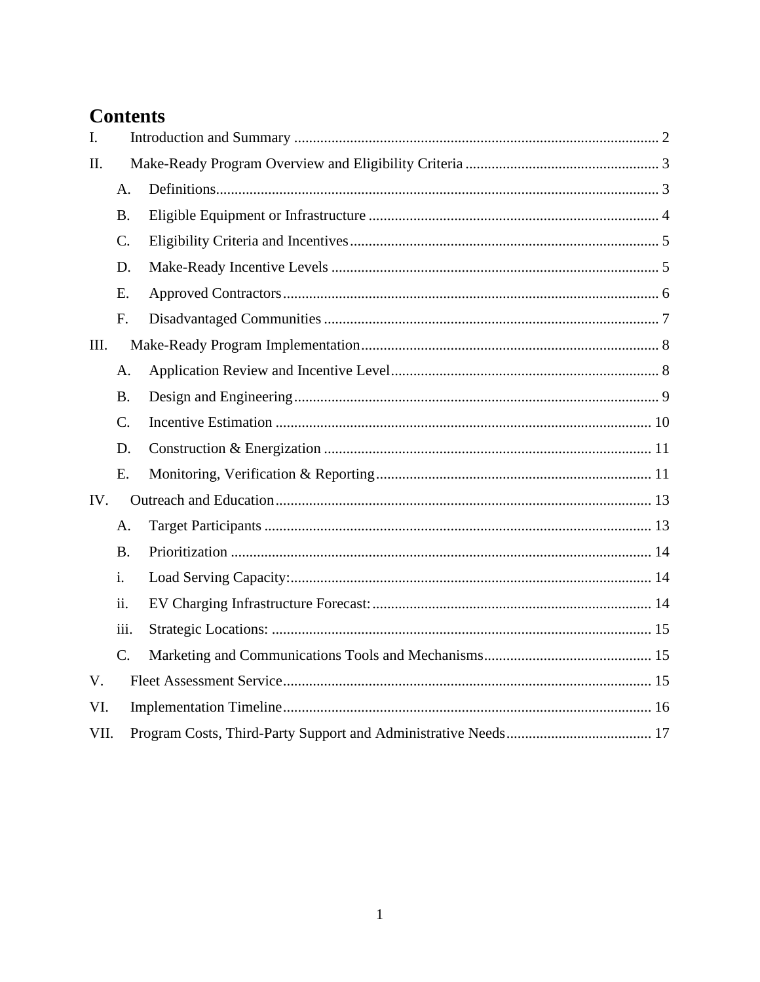# **Contents**

| I.   |                 |  |  |  |  |
|------|-----------------|--|--|--|--|
| II.  |                 |  |  |  |  |
|      | A <sub>1</sub>  |  |  |  |  |
|      | <b>B.</b>       |  |  |  |  |
|      | $\mathcal{C}$ . |  |  |  |  |
|      | D.              |  |  |  |  |
|      | Ε.              |  |  |  |  |
|      | F.              |  |  |  |  |
| III. |                 |  |  |  |  |
|      | A.              |  |  |  |  |
|      | <b>B.</b>       |  |  |  |  |
|      | $C_{\cdot}$     |  |  |  |  |
|      | D.              |  |  |  |  |
|      | Ε.              |  |  |  |  |
| IV.  |                 |  |  |  |  |
|      | A.              |  |  |  |  |
|      | <b>B.</b>       |  |  |  |  |
|      | i.              |  |  |  |  |
|      | ii.             |  |  |  |  |
|      | iii.            |  |  |  |  |
|      | C.              |  |  |  |  |
| V.   |                 |  |  |  |  |
| VI.  |                 |  |  |  |  |
| VII. |                 |  |  |  |  |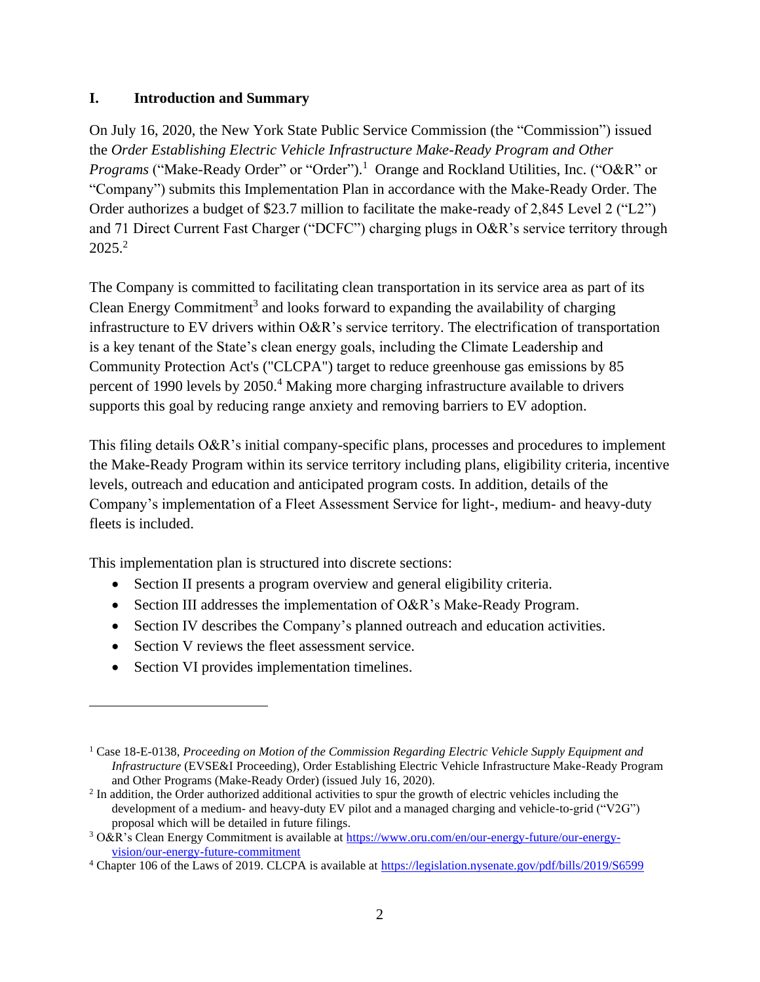#### <span id="page-2-0"></span>**I. Introduction and Summary**

On July 16, 2020, the New York State Public Service Commission (the "Commission") issued the *Order Establishing Electric Vehicle Infrastructure Make-Ready Program and Other*  Programs ("Make-Ready Order" or "Order").<sup>1</sup> Orange and Rockland Utilities, Inc. ("O&R" or "Company") submits this Implementation Plan in accordance with the Make-Ready Order. The Order authorizes a budget of \$23.7 million to facilitate the make-ready of 2,845 Level 2 ("L2") and 71 Direct Current Fast Charger ("DCFC") charging plugs in O&R's service territory through 2025.<sup>2</sup>

The Company is committed to facilitating clean transportation in its service area as part of its Clean Energy Commitment<sup>3</sup> and looks forward to expanding the availability of charging infrastructure to EV drivers within O&R's service territory. The electrification of transportation is a key tenant of the State's clean energy goals, including the Climate Leadership and Community Protection Act's ("CLCPA") target to reduce greenhouse gas emissions by 85 percent of 1990 levels by 2050.<sup>4</sup> Making more charging infrastructure available to drivers supports this goal by reducing range anxiety and removing barriers to EV adoption.

This filing details O&R's initial company-specific plans, processes and procedures to implement the Make-Ready Program within its service territory including plans, eligibility criteria, incentive levels, outreach and education and anticipated program costs. In addition, details of the Company's implementation of a Fleet Assessment Service for light-, medium- and heavy-duty fleets is included.

This implementation plan is structured into discrete sections:

- Section II presents a program overview and general eligibility criteria.
- Section III addresses the implementation of O&R's Make-Ready Program.
- Section IV describes the Company's planned outreach and education activities.
- Section V reviews the fleet assessment service.
- Section VI provides implementation timelines.

<sup>1</sup> Case 18-E-0138, *Proceeding on Motion of the Commission Regarding Electric Vehicle Supply Equipment and Infrastructure* (EVSE&I Proceeding), Order Establishing Electric Vehicle Infrastructure Make-Ready Program and Other Programs (Make-Ready Order) (issued July 16, 2020).

 $<sup>2</sup>$  In addition, the Order authorized additional activities to spur the growth of electric vehicles including the</sup> development of a medium- and heavy-duty EV pilot and a managed charging and vehicle-to-grid ("V2G") proposal which will be detailed in future filings.

<sup>3</sup> O&R's Clean Energy Commitment is available at [https://www.oru.com/en/our-energy-future/our-energy](https://www.oru.com/en/our-energy-future/our-energy-vision/our-energy-future-commitment)[vision/our-energy-future-commitment](https://www.oru.com/en/our-energy-future/our-energy-vision/our-energy-future-commitment)

<sup>4</sup> Chapter 106 of the Laws of 2019. CLCPA is available at<https://legislation.nysenate.gov/pdf/bills/2019/S6599>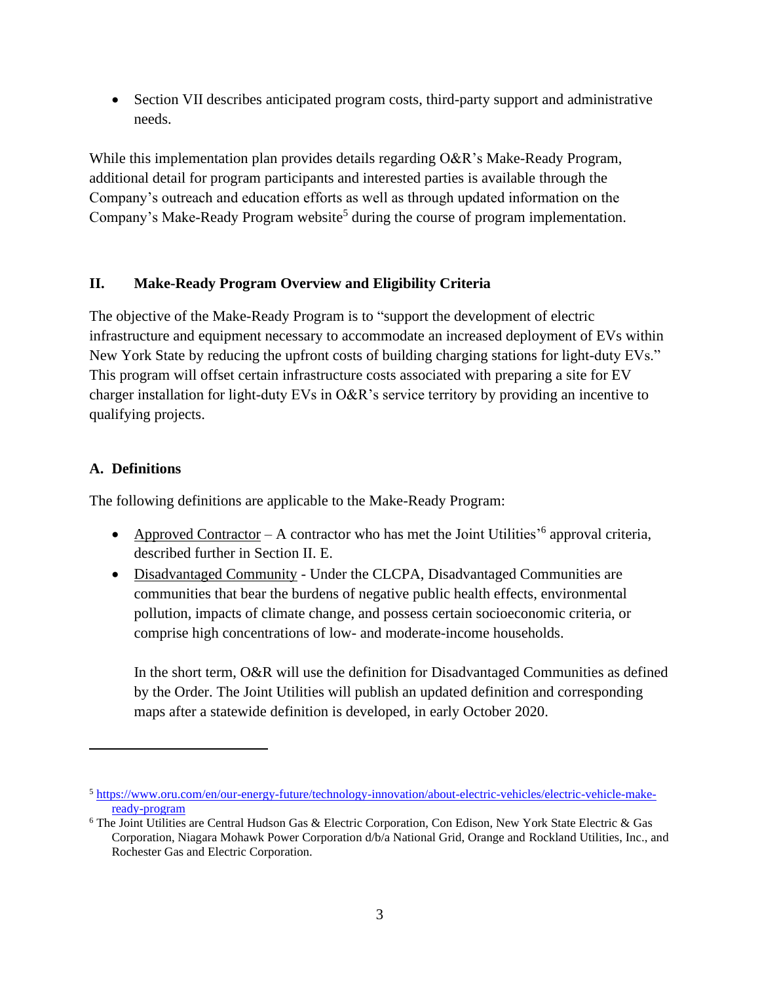• Section VII describes anticipated program costs, third-party support and administrative needs.

While this implementation plan provides details regarding O&R's Make-Ready Program, additional detail for program participants and interested parties is available through the Company's outreach and education efforts as well as through updated information on the Company's Make-Ready Program website<sup>5</sup> during the course of program implementation.

# <span id="page-3-0"></span>**II. Make-Ready Program Overview and Eligibility Criteria**

The objective of the Make-Ready Program is to "support the development of electric infrastructure and equipment necessary to accommodate an increased deployment of EVs within New York State by reducing the upfront costs of building charging stations for light-duty EVs." This program will offset certain infrastructure costs associated with preparing a site for EV charger installation for light-duty EVs in O&R's service territory by providing an incentive to qualifying projects.

## <span id="page-3-1"></span>**A. Definitions**

The following definitions are applicable to the Make-Ready Program:

- Approved Contractor A contractor who has met the Joint Utilities<sup> $56$ </sup> approval criteria, described further in Section II. E.
- Disadvantaged Community Under the CLCPA, Disadvantaged Communities are communities that bear the burdens of negative public health effects, environmental pollution, impacts of climate change, and possess certain socioeconomic criteria, or comprise high concentrations of low- and moderate-income households.

In the short term, O&R will use the definition for Disadvantaged Communities as defined by the Order. The Joint Utilities will publish an updated definition and corresponding maps after a statewide definition is developed, in early October 2020.

<sup>5</sup> [https://www.oru.com/en/our-energy-future/technology-innovation/about-electric-vehicles/electric-vehicle-make](https://www.oru.com/en/our-energy-future/technology-innovation/about-electric-vehicles/electric-vehicle-make-ready-program)[ready-program](https://www.oru.com/en/our-energy-future/technology-innovation/about-electric-vehicles/electric-vehicle-make-ready-program)

<sup>6</sup> The Joint Utilities are Central Hudson Gas & Electric Corporation, Con Edison, New York State Electric & Gas Corporation, Niagara Mohawk Power Corporation d/b/a National Grid, Orange and Rockland Utilities, Inc., and Rochester Gas and Electric Corporation.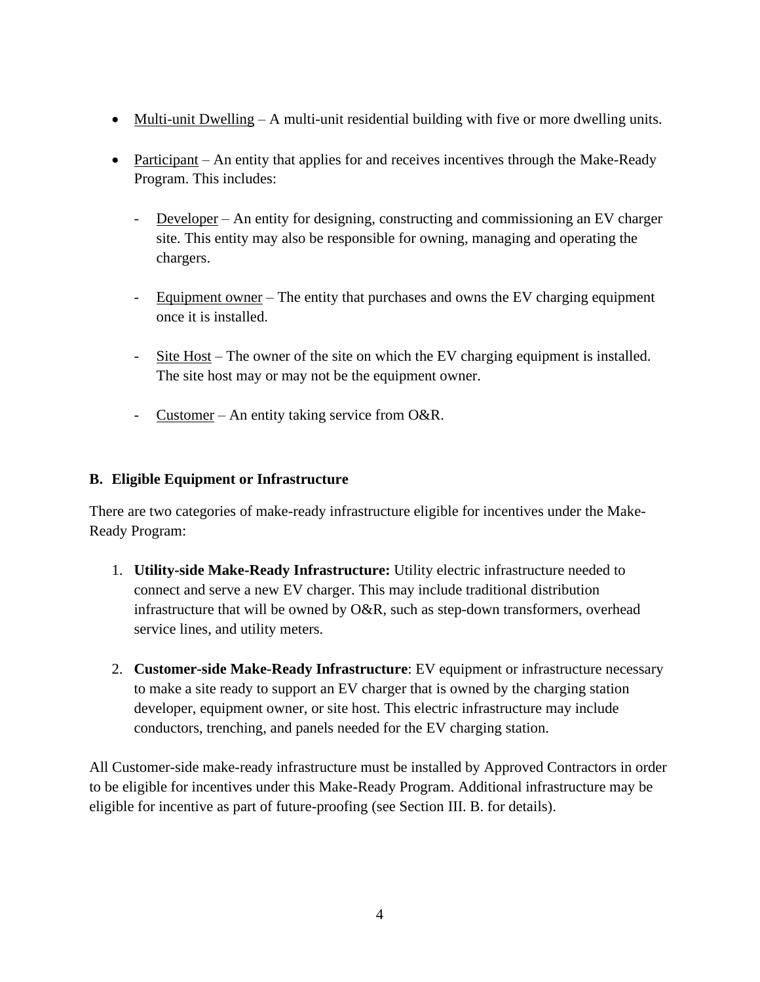- Multi-unit Dwelling A multi-unit residential building with five or more dwelling units.
- Participant An entity that applies for and receives incentives through the Make-Ready Program. This includes:
	- Developer An entity for designing, constructing and commissioning an EV charger site. This entity may also be responsible for owning, managing and operating the chargers.
	- Equipment owner The entity that purchases and owns the EV charging equipment once it is installed.
	- Site Host The owner of the site on which the EV charging equipment is installed. The site host may or may not be the equipment owner.
	- Customer An entity taking service from O&R.

#### <span id="page-4-0"></span>**B. Eligible Equipment or Infrastructure**

There are two categories of make-ready infrastructure eligible for incentives under the Make-Ready Program:

- 1. **Utility-side Make-Ready Infrastructure:** Utility electric infrastructure needed to connect and serve a new EV charger. This may include traditional distribution infrastructure that will be owned by O&R, such as step-down transformers, overhead service lines, and utility meters.
- 2. **Customer-side Make-Ready Infrastructure**: EV equipment or infrastructure necessary to make a site ready to support an EV charger that is owned by the charging station developer, equipment owner, or site host. This electric infrastructure may include conductors, trenching, and panels needed for the EV charging station.

All Customer-side make-ready infrastructure must be installed by Approved Contractors in order to be eligible for incentives under this Make-Ready Program. Additional infrastructure may be eligible for incentive as part of future-proofing (see Section III. B. for details).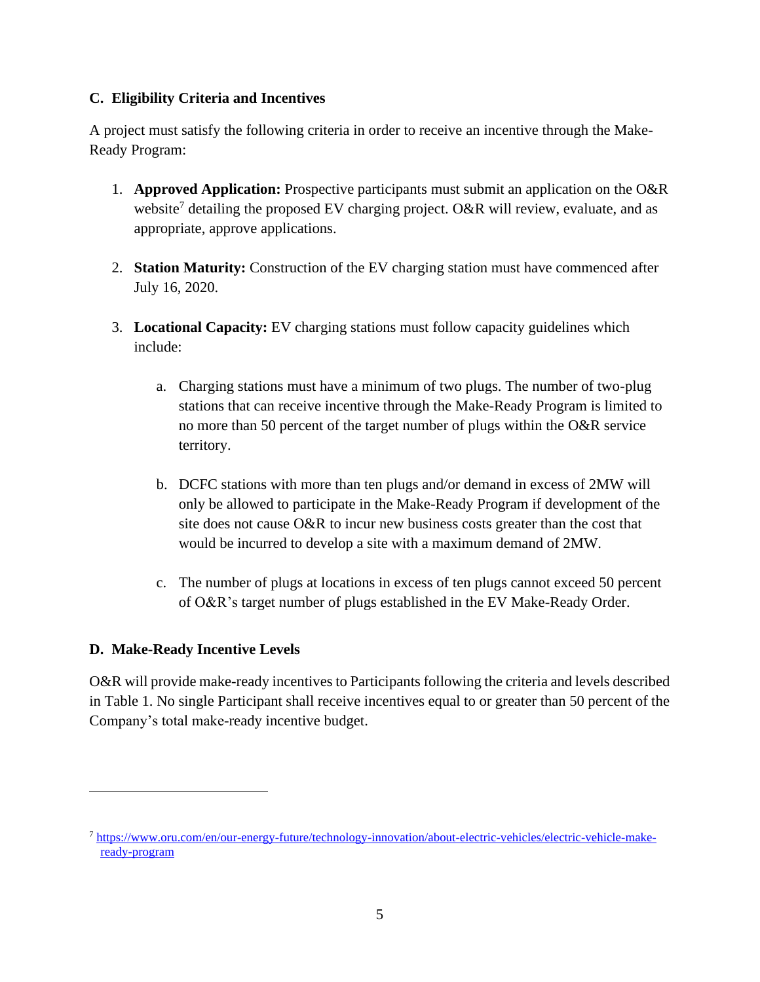## <span id="page-5-0"></span>**C. Eligibility Criteria and Incentives**

A project must satisfy the following criteria in order to receive an incentive through the Make-Ready Program:

- 1. **Approved Application:** Prospective participants must submit an application on the O&R website<sup>7</sup> detailing the proposed EV charging project. O&R will review, evaluate, and as appropriate, approve applications.
- 2. **Station Maturity:** Construction of the EV charging station must have commenced after July 16, 2020.
- 3. **Locational Capacity:** EV charging stations must follow capacity guidelines which include:
	- a. Charging stations must have a minimum of two plugs. The number of two-plug stations that can receive incentive through the Make-Ready Program is limited to no more than 50 percent of the target number of plugs within the O&R service territory.
	- b. DCFC stations with more than ten plugs and/or demand in excess of 2MW will only be allowed to participate in the Make-Ready Program if development of the site does not cause O&R to incur new business costs greater than the cost that would be incurred to develop a site with a maximum demand of 2MW.
	- c. The number of plugs at locations in excess of ten plugs cannot exceed 50 percent of O&R's target number of plugs established in the EV Make-Ready Order.

# <span id="page-5-1"></span>**D. Make-Ready Incentive Levels**

O&R will provide make-ready incentives to Participants following the criteria and levels described in Table 1. No single Participant shall receive incentives equal to or greater than 50 percent of the Company's total make-ready incentive budget.

<sup>7</sup> [https://www.oru.com/en/our-energy-future/technology-innovation/about-electric-vehicles/electric-vehicle-make](https://www.oru.com/en/our-energy-future/technology-innovation/about-electric-vehicles/electric-vehicle-make-ready-program)[ready-program](https://www.oru.com/en/our-energy-future/technology-innovation/about-electric-vehicles/electric-vehicle-make-ready-program)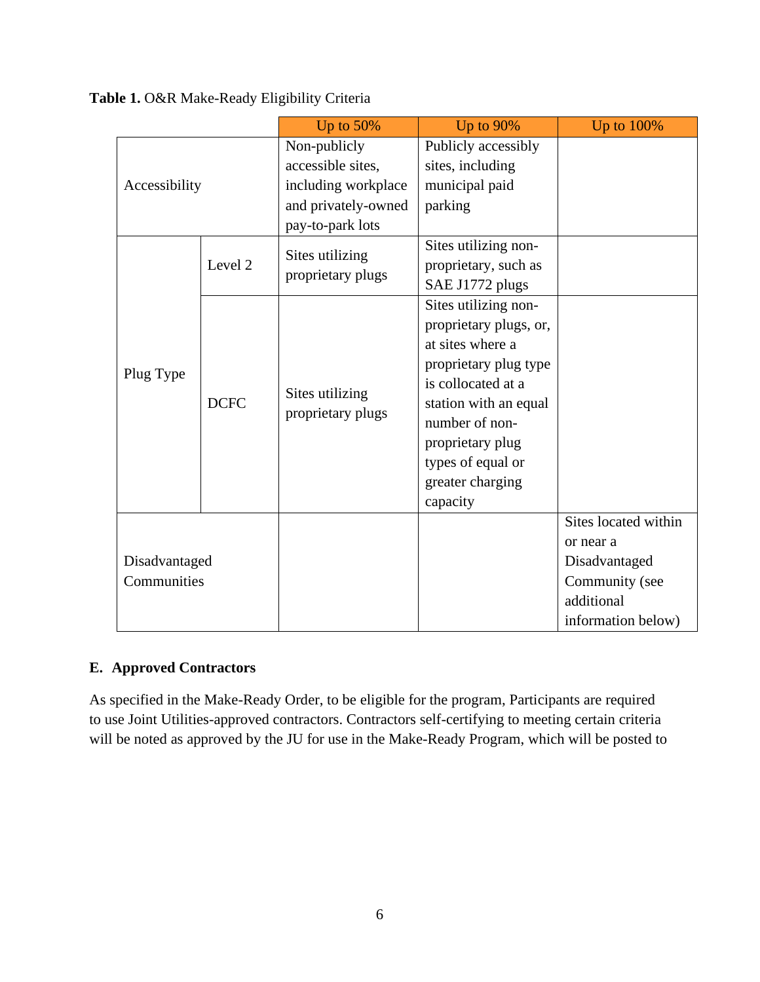**Table 1.** O&R Make-Ready Eligibility Criteria

|                              |             | Up to 50%                            | Up to 90%              | Up to 100%           |
|------------------------------|-------------|--------------------------------------|------------------------|----------------------|
|                              |             | Non-publicly                         | Publicly accessibly    |                      |
|                              |             | accessible sites,                    | sites, including       |                      |
| Accessibility                |             | including workplace                  | municipal paid         |                      |
|                              |             | and privately-owned                  | parking                |                      |
|                              |             | pay-to-park lots                     |                        |                      |
|                              | Level 2     | Sites utilizing<br>proprietary plugs | Sites utilizing non-   |                      |
|                              |             |                                      | proprietary, such as   |                      |
|                              |             |                                      | SAE J1772 plugs        |                      |
|                              |             |                                      | Sites utilizing non-   |                      |
|                              | <b>DCFC</b> |                                      | proprietary plugs, or, |                      |
|                              |             | Sites utilizing<br>proprietary plugs | at sites where a       |                      |
| Plug Type                    |             |                                      | proprietary plug type  |                      |
|                              |             |                                      | is collocated at a     |                      |
|                              |             |                                      | station with an equal  |                      |
|                              |             |                                      | number of non-         |                      |
|                              |             |                                      | proprietary plug       |                      |
|                              |             |                                      | types of equal or      |                      |
|                              |             |                                      | greater charging       |                      |
|                              |             |                                      | capacity               |                      |
| Disadvantaged<br>Communities |             |                                      |                        | Sites located within |
|                              |             |                                      |                        | or near a            |
|                              |             |                                      |                        | Disadvantaged        |
|                              |             |                                      |                        | Community (see       |
|                              |             |                                      |                        | additional           |
|                              |             |                                      |                        | information below)   |

# <span id="page-6-0"></span>**E. Approved Contractors**

As specified in the Make-Ready Order, to be eligible for the program, Participants are required to use Joint Utilities-approved contractors. Contractors self-certifying to meeting certain criteria will be noted as approved by the JU for use in the Make-Ready Program, which will be posted to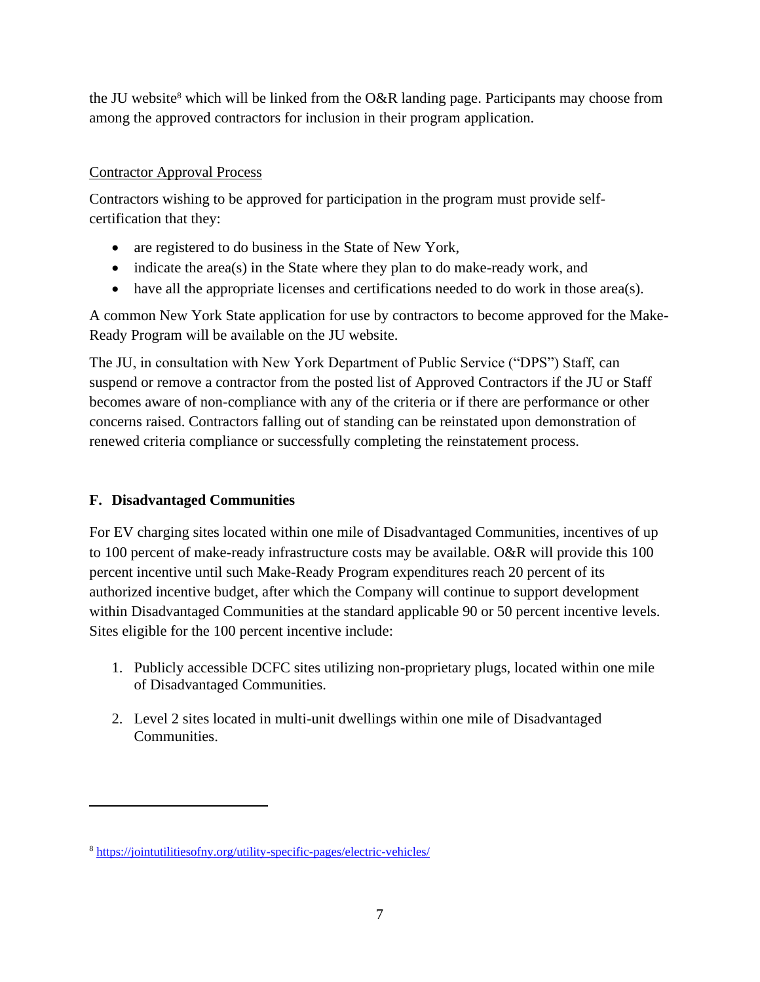the JU website<sup>8</sup> which will be linked from the O&R landing page. Participants may choose from among the approved contractors for inclusion in their program application.

## Contractor Approval Process

Contractors wishing to be approved for participation in the program must provide selfcertification that they:

- are registered to do business in the State of New York,
- indicate the area(s) in the State where they plan to do make-ready work, and
- have all the appropriate licenses and certifications needed to do work in those area(s).

A common New York State application for use by contractors to become approved for the Make-Ready Program will be available on the JU website.

The JU, in consultation with New York Department of Public Service ("DPS") Staff, can suspend or remove a contractor from the posted list of Approved Contractors if the JU or Staff becomes aware of non-compliance with any of the criteria or if there are performance or other concerns raised. Contractors falling out of standing can be reinstated upon demonstration of renewed criteria compliance or successfully completing the reinstatement process.

# <span id="page-7-0"></span>**F. Disadvantaged Communities**

For EV charging sites located within one mile of Disadvantaged Communities, incentives of up to 100 percent of make-ready infrastructure costs may be available. O&R will provide this 100 percent incentive until such Make-Ready Program expenditures reach 20 percent of its authorized incentive budget, after which the Company will continue to support development within Disadvantaged Communities at the standard applicable 90 or 50 percent incentive levels. Sites eligible for the 100 percent incentive include:

- 1. Publicly accessible DCFC sites utilizing non-proprietary plugs, located within one mile of Disadvantaged Communities.
- 2. Level 2 sites located in multi-unit dwellings within one mile of Disadvantaged Communities.

<sup>8</sup> <https://jointutilitiesofny.org/utility-specific-pages/electric-vehicles/>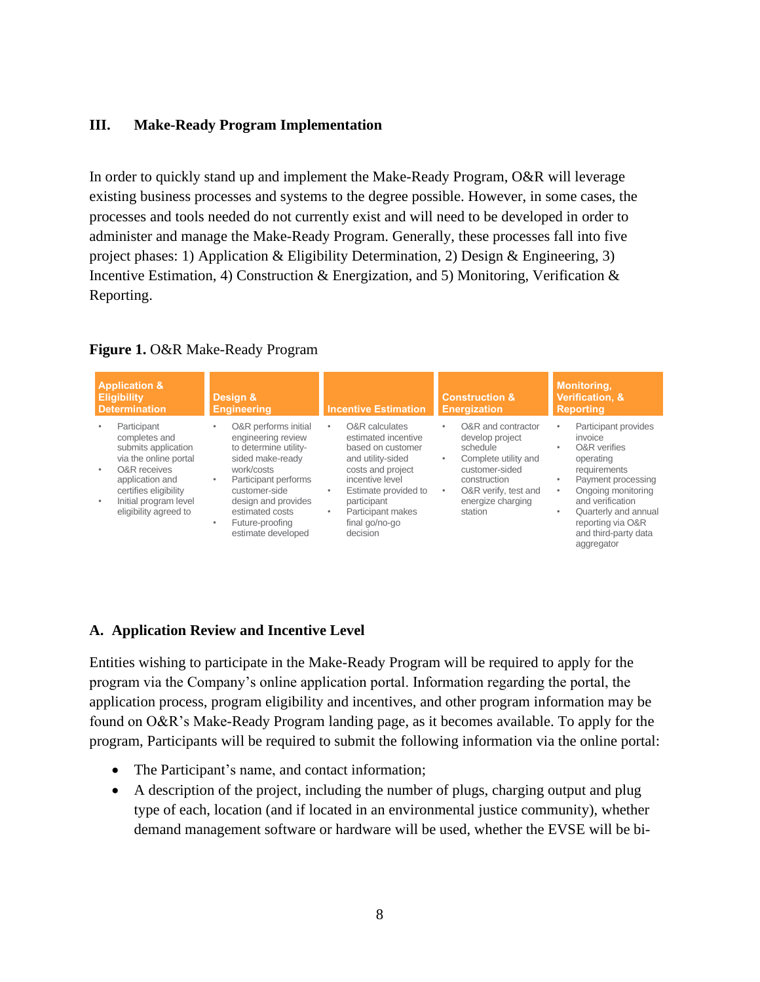#### <span id="page-8-0"></span>**III. Make-Ready Program Implementation**

In order to quickly stand up and implement the Make-Ready Program, O&R will leverage existing business processes and systems to the degree possible. However, in some cases, the processes and tools needed do not currently exist and will need to be developed in order to administer and manage the Make-Ready Program. Generally, these processes fall into five project phases: 1) Application & Eligibility Determination, 2) Design & Engineering, 3) Incentive Estimation, 4) Construction & Energization, and 5) Monitoring, Verification & Reporting.

| <b>Application &amp;</b><br><b>Eligibility</b><br><b>Determination</b>                                                                                                                                     | Design &<br><b>Engineering</b>                                                                                                                                                                                                              | <b>Incentive Estimation</b>                                                                                                                                                                                                      | <b>Construction &amp;</b><br><b>Energization</b>                                                                                                                                                   | <b>Monitoring,</b><br><b>Verification, &amp;</b><br><b>Reporting</b>                                                                                                                                                                                                |  |
|------------------------------------------------------------------------------------------------------------------------------------------------------------------------------------------------------------|---------------------------------------------------------------------------------------------------------------------------------------------------------------------------------------------------------------------------------------------|----------------------------------------------------------------------------------------------------------------------------------------------------------------------------------------------------------------------------------|----------------------------------------------------------------------------------------------------------------------------------------------------------------------------------------------------|---------------------------------------------------------------------------------------------------------------------------------------------------------------------------------------------------------------------------------------------------------------------|--|
| Participant<br>completes and<br>submits application<br>via the online portal<br><b>O&amp;R</b> receives<br>٠<br>application and<br>certifies eligibility<br>Initial program level<br>eligibility agreed to | O&R performs initial<br>engineering review<br>to determine utility-<br>sided make-ready<br>work/costs<br>Participant performs<br>٠<br>customer-side<br>design and provides<br>estimated costs<br>Future-proofing<br>٠<br>estimate developed | O&R calculates<br>٠<br>estimated incentive<br>based on customer<br>and utility-sided<br>costs and project<br>incentive level<br>Estimate provided to<br>٠<br>participant<br>Participant makes<br>٠<br>final go/no-go<br>decision | O&R and contractor<br>٠<br>develop project<br>schedule<br>Complete utility and<br>$\bullet$<br>customer-sided<br>construction<br>O&R verify, test and<br>$\bullet$<br>energize charging<br>station | Participant provides<br>٠<br>invoice<br><b>O&amp;R</b> verifies<br>٠<br>operating<br>requirements<br>Payment processing<br>۰<br>Ongoing monitoring<br>٠<br>and verification<br>Quarterly and annual<br>٠<br>reporting via O&R<br>and third-party data<br>aggregator |  |

#### **Figure 1.** O&R Make-Ready Program

#### <span id="page-8-1"></span>**A. Application Review and Incentive Level**

Entities wishing to participate in the Make-Ready Program will be required to apply for the program via the Company's online application portal. Information regarding the portal, the application process, program eligibility and incentives, and other program information may be found on O&R's Make-Ready Program landing page, as it becomes available. To apply for the program, Participants will be required to submit the following information via the online portal:

- The Participant's name, and contact information;
- A description of the project, including the number of plugs, charging output and plug type of each, location (and if located in an environmental justice community), whether demand management software or hardware will be used, whether the EVSE will be bi-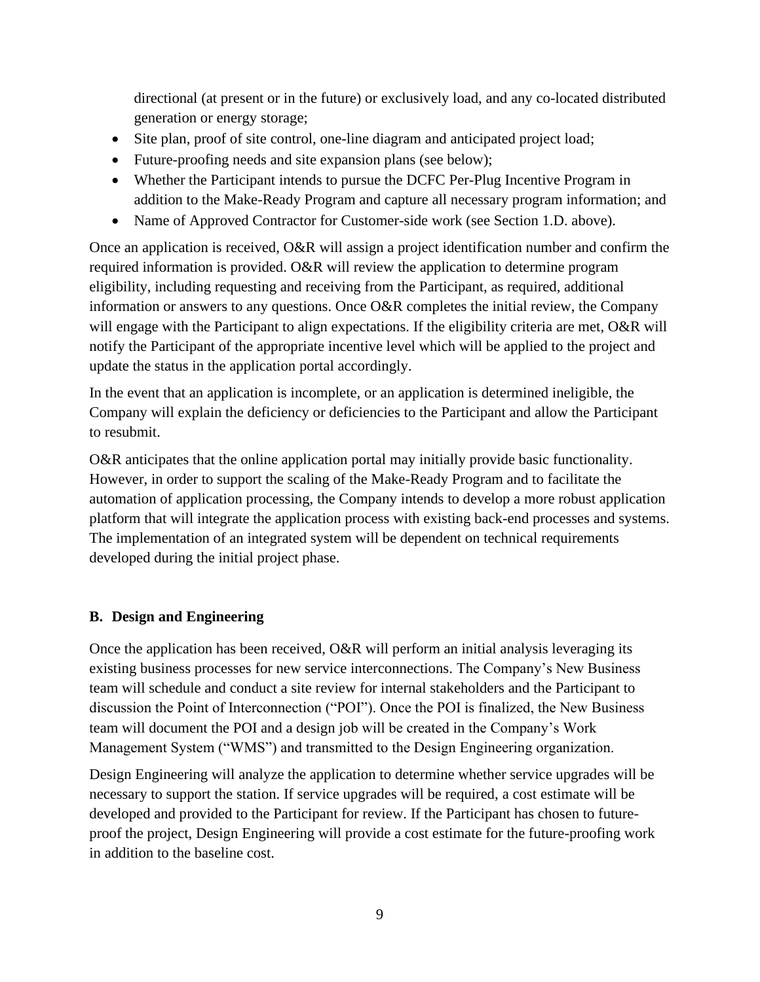directional (at present or in the future) or exclusively load, and any co-located distributed generation or energy storage;

- Site plan, proof of site control, one-line diagram and anticipated project load;
- Future-proofing needs and site expansion plans (see below);
- Whether the Participant intends to pursue the DCFC Per-Plug Incentive Program in addition to the Make-Ready Program and capture all necessary program information; and
- Name of Approved Contractor for Customer-side work (see Section 1.D. above).

Once an application is received, O&R will assign a project identification number and confirm the required information is provided. O&R will review the application to determine program eligibility, including requesting and receiving from the Participant, as required, additional information or answers to any questions. Once O&R completes the initial review, the Company will engage with the Participant to align expectations. If the eligibility criteria are met, O&R will notify the Participant of the appropriate incentive level which will be applied to the project and update the status in the application portal accordingly.

In the event that an application is incomplete, or an application is determined ineligible, the Company will explain the deficiency or deficiencies to the Participant and allow the Participant to resubmit.

O&R anticipates that the online application portal may initially provide basic functionality. However, in order to support the scaling of the Make-Ready Program and to facilitate the automation of application processing, the Company intends to develop a more robust application platform that will integrate the application process with existing back-end processes and systems. The implementation of an integrated system will be dependent on technical requirements developed during the initial project phase.

#### <span id="page-9-0"></span>**B. Design and Engineering**

Once the application has been received, O&R will perform an initial analysis leveraging its existing business processes for new service interconnections. The Company's New Business team will schedule and conduct a site review for internal stakeholders and the Participant to discussion the Point of Interconnection ("POI"). Once the POI is finalized, the New Business team will document the POI and a design job will be created in the Company's Work Management System ("WMS") and transmitted to the Design Engineering organization.

Design Engineering will analyze the application to determine whether service upgrades will be necessary to support the station. If service upgrades will be required, a cost estimate will be developed and provided to the Participant for review. If the Participant has chosen to futureproof the project, Design Engineering will provide a cost estimate for the future-proofing work in addition to the baseline cost.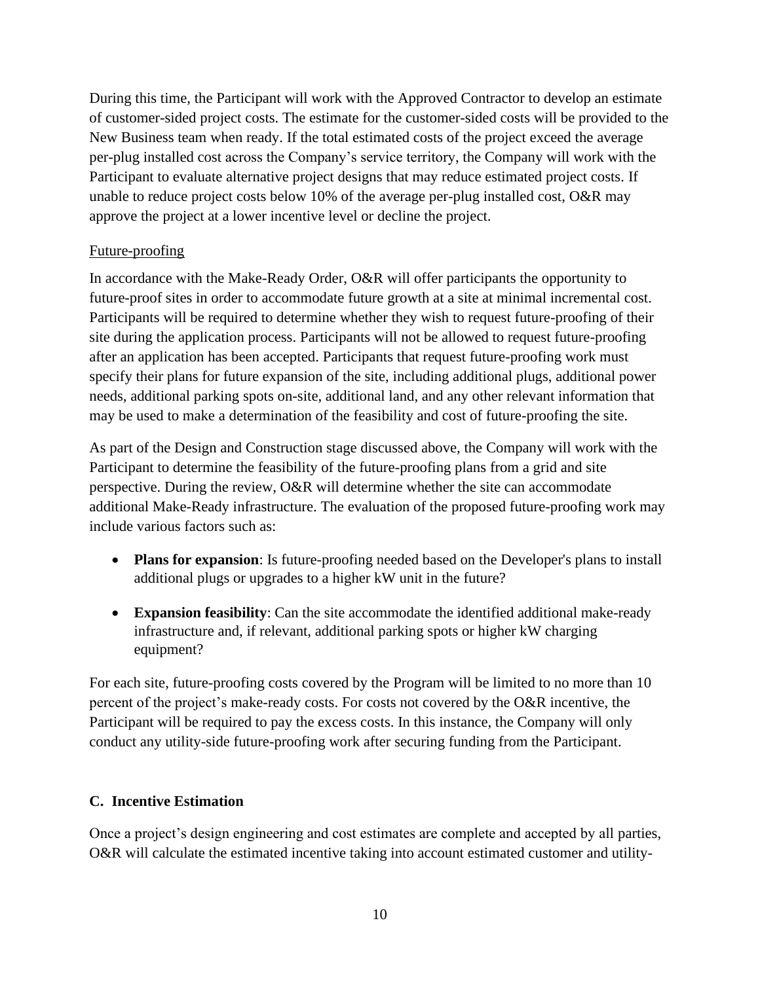During this time, the Participant will work with the Approved Contractor to develop an estimate of customer-sided project costs. The estimate for the customer-sided costs will be provided to the New Business team when ready. If the total estimated costs of the project exceed the average per-plug installed cost across the Company's service territory, the Company will work with the Participant to evaluate alternative project designs that may reduce estimated project costs. If unable to reduce project costs below 10% of the average per-plug installed cost, O&R may approve the project at a lower incentive level or decline the project.

#### Future-proofing

In accordance with the Make-Ready Order, O&R will offer participants the opportunity to future-proof sites in order to accommodate future growth at a site at minimal incremental cost. Participants will be required to determine whether they wish to request future-proofing of their site during the application process. Participants will not be allowed to request future-proofing after an application has been accepted. Participants that request future-proofing work must specify their plans for future expansion of the site, including additional plugs, additional power needs, additional parking spots on-site, additional land, and any other relevant information that may be used to make a determination of the feasibility and cost of future-proofing the site.

As part of the Design and Construction stage discussed above, the Company will work with the Participant to determine the feasibility of the future-proofing plans from a grid and site perspective. During the review, O&R will determine whether the site can accommodate additional Make-Ready infrastructure. The evaluation of the proposed future-proofing work may include various factors such as:

- **Plans for expansion**: Is future-proofing needed based on the Developer's plans to install additional plugs or upgrades to a higher kW unit in the future?
- **Expansion feasibility**: Can the site accommodate the identified additional make-ready infrastructure and, if relevant, additional parking spots or higher kW charging equipment?

For each site, future-proofing costs covered by the Program will be limited to no more than 10 percent of the project's make-ready costs. For costs not covered by the O&R incentive, the Participant will be required to pay the excess costs. In this instance, the Company will only conduct any utility-side future-proofing work after securing funding from the Participant.

#### <span id="page-10-0"></span>**C. Incentive Estimation**

Once a project's design engineering and cost estimates are complete and accepted by all parties, O&R will calculate the estimated incentive taking into account estimated customer and utility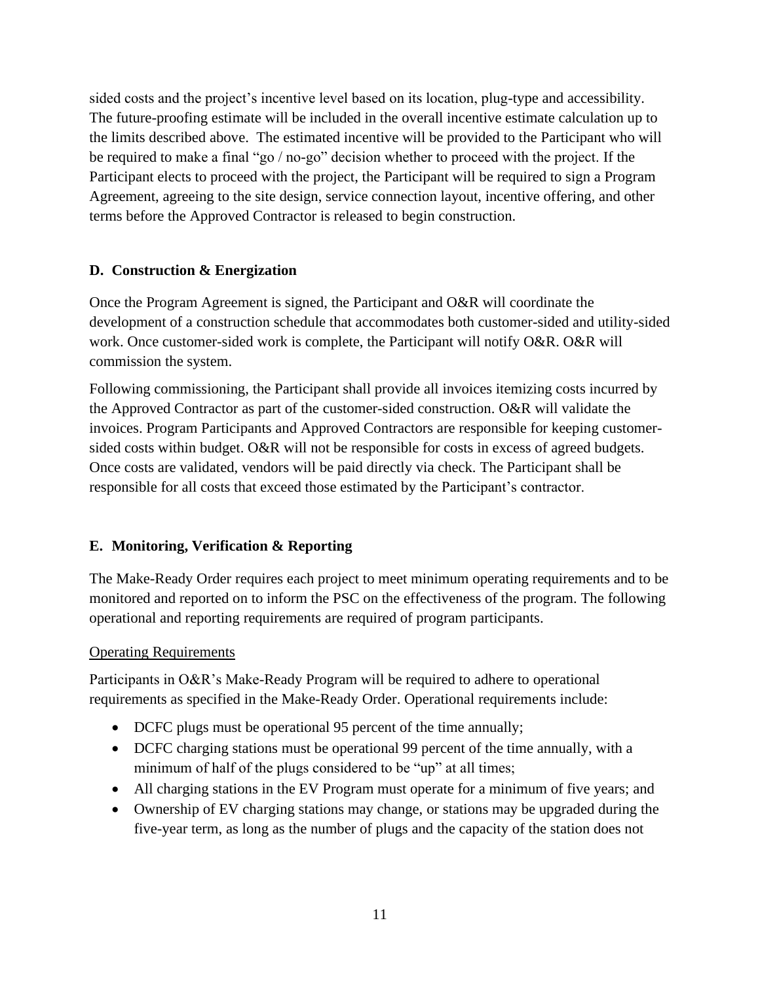sided costs and the project's incentive level based on its location, plug-type and accessibility. The future-proofing estimate will be included in the overall incentive estimate calculation up to the limits described above. The estimated incentive will be provided to the Participant who will be required to make a final "go / no-go" decision whether to proceed with the project. If the Participant elects to proceed with the project, the Participant will be required to sign a Program Agreement, agreeing to the site design, service connection layout, incentive offering, and other terms before the Approved Contractor is released to begin construction.

## <span id="page-11-0"></span>**D. Construction & Energization**

Once the Program Agreement is signed, the Participant and O&R will coordinate the development of a construction schedule that accommodates both customer-sided and utility-sided work. Once customer-sided work is complete, the Participant will notify O&R. O&R will commission the system.

Following commissioning, the Participant shall provide all invoices itemizing costs incurred by the Approved Contractor as part of the customer-sided construction. O&R will validate the invoices. Program Participants and Approved Contractors are responsible for keeping customersided costs within budget. O&R will not be responsible for costs in excess of agreed budgets. Once costs are validated, vendors will be paid directly via check. The Participant shall be responsible for all costs that exceed those estimated by the Participant's contractor.

#### <span id="page-11-1"></span>**E. Monitoring, Verification & Reporting**

The Make-Ready Order requires each project to meet minimum operating requirements and to be monitored and reported on to inform the PSC on the effectiveness of the program. The following operational and reporting requirements are required of program participants.

#### Operating Requirements

Participants in O&R's Make-Ready Program will be required to adhere to operational requirements as specified in the Make-Ready Order. Operational requirements include:

- DCFC plugs must be operational 95 percent of the time annually;
- DCFC charging stations must be operational 99 percent of the time annually, with a minimum of half of the plugs considered to be "up" at all times;
- All charging stations in the EV Program must operate for a minimum of five years; and
- Ownership of EV charging stations may change, or stations may be upgraded during the five-year term, as long as the number of plugs and the capacity of the station does not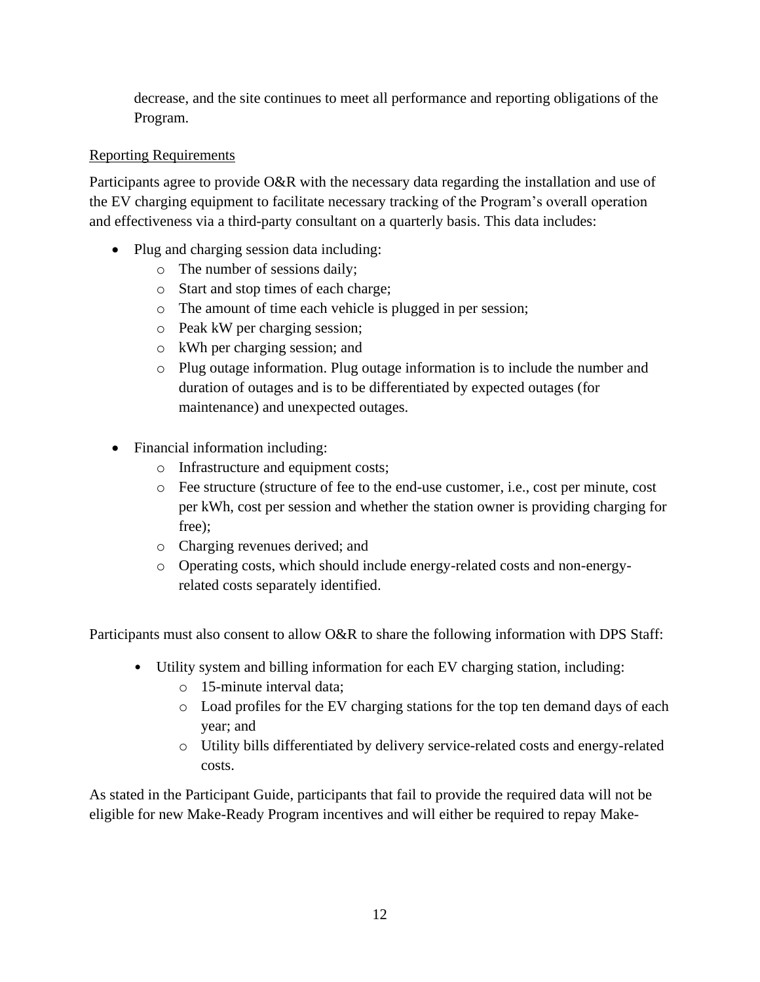decrease, and the site continues to meet all performance and reporting obligations of the Program.

## Reporting Requirements

Participants agree to provide O&R with the necessary data regarding the installation and use of the EV charging equipment to facilitate necessary tracking of the Program's overall operation and effectiveness via a third-party consultant on a quarterly basis. This data includes:

- Plug and charging session data including:
	- o The number of sessions daily;
	- o Start and stop times of each charge;
	- o The amount of time each vehicle is plugged in per session;
	- o Peak kW per charging session;
	- o kWh per charging session; and
	- o Plug outage information. Plug outage information is to include the number and duration of outages and is to be differentiated by expected outages (for maintenance) and unexpected outages.
- Financial information including:
	- o Infrastructure and equipment costs;
	- o Fee structure (structure of fee to the end-use customer, i.e., cost per minute, cost per kWh, cost per session and whether the station owner is providing charging for free);
	- o Charging revenues derived; and
	- o Operating costs, which should include energy-related costs and non-energyrelated costs separately identified.

Participants must also consent to allow O&R to share the following information with DPS Staff:

- Utility system and billing information for each EV charging station, including:
	- o 15-minute interval data;
	- o Load profiles for the EV charging stations for the top ten demand days of each year; and
	- o Utility bills differentiated by delivery service-related costs and energy-related costs.

As stated in the Participant Guide, participants that fail to provide the required data will not be eligible for new Make-Ready Program incentives and will either be required to repay Make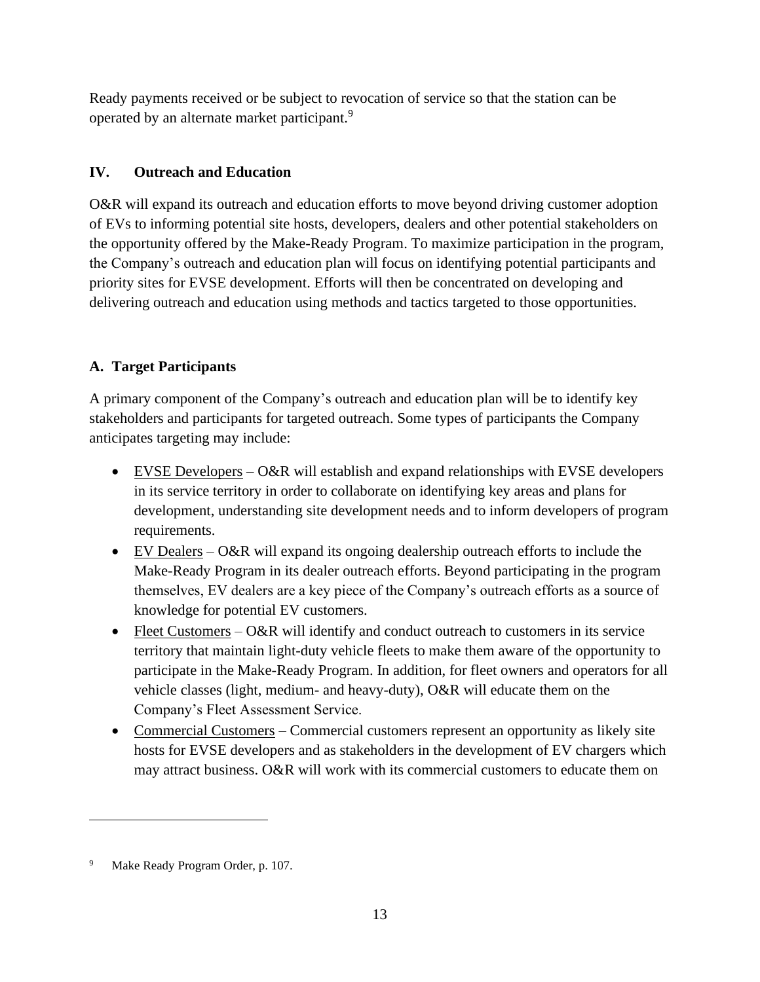Ready payments received or be subject to revocation of service so that the station can be operated by an alternate market participant.<sup>9</sup>

# <span id="page-13-0"></span>**IV. Outreach and Education**

O&R will expand its outreach and education efforts to move beyond driving customer adoption of EVs to informing potential site hosts, developers, dealers and other potential stakeholders on the opportunity offered by the Make-Ready Program. To maximize participation in the program, the Company's outreach and education plan will focus on identifying potential participants and priority sites for EVSE development. Efforts will then be concentrated on developing and delivering outreach and education using methods and tactics targeted to those opportunities.

# <span id="page-13-1"></span>**A. Target Participants**

A primary component of the Company's outreach and education plan will be to identify key stakeholders and participants for targeted outreach. Some types of participants the Company anticipates targeting may include:

- EVSE Developers O&R will establish and expand relationships with EVSE developers in its service territory in order to collaborate on identifying key areas and plans for development, understanding site development needs and to inform developers of program requirements.
- EV Dealers O&R will expand its ongoing dealership outreach efforts to include the Make-Ready Program in its dealer outreach efforts. Beyond participating in the program themselves, EV dealers are a key piece of the Company's outreach efforts as a source of knowledge for potential EV customers.
- Fleet Customers  $-0&R$  will identify and conduct outreach to customers in its service territory that maintain light-duty vehicle fleets to make them aware of the opportunity to participate in the Make-Ready Program. In addition, for fleet owners and operators for all vehicle classes (light, medium- and heavy-duty), O&R will educate them on the Company's Fleet Assessment Service.
- Commercial Customers Commercial customers represent an opportunity as likely site hosts for EVSE developers and as stakeholders in the development of EV chargers which may attract business. O&R will work with its commercial customers to educate them on

<sup>9</sup> Make Ready Program Order, p. 107.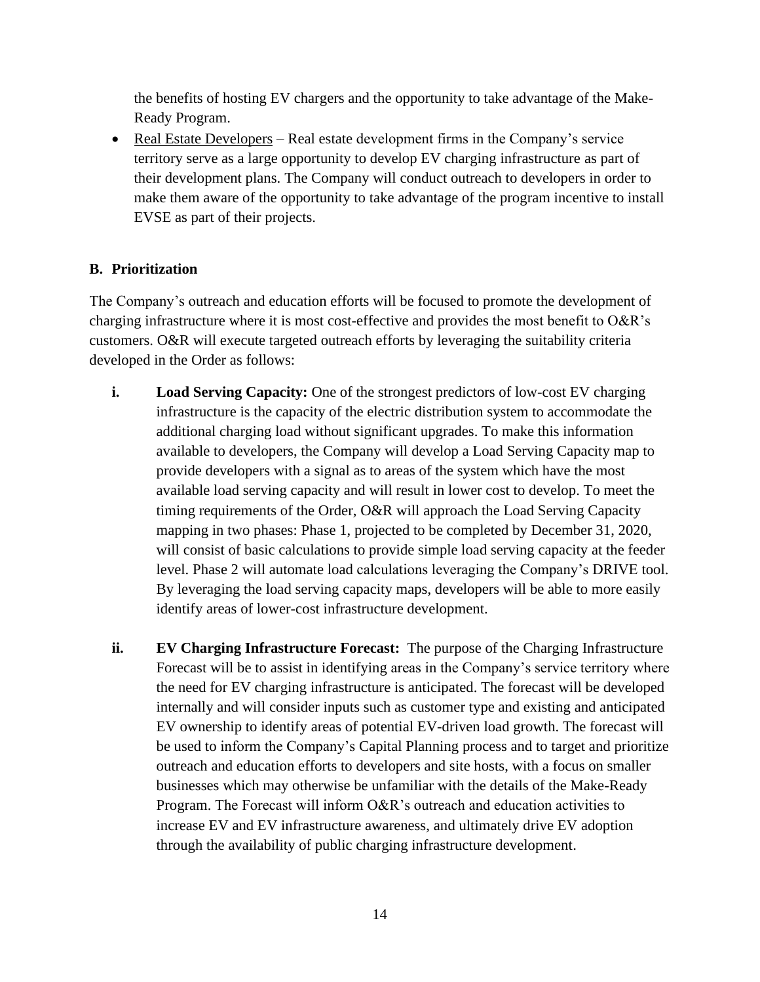the benefits of hosting EV chargers and the opportunity to take advantage of the Make-Ready Program.

• Real Estate Developers – Real estate development firms in the Company's service territory serve as a large opportunity to develop EV charging infrastructure as part of their development plans. The Company will conduct outreach to developers in order to make them aware of the opportunity to take advantage of the program incentive to install EVSE as part of their projects.

## <span id="page-14-0"></span>**B. Prioritization**

The Company's outreach and education efforts will be focused to promote the development of charging infrastructure where it is most cost-effective and provides the most benefit to O&R's customers. O&R will execute targeted outreach efforts by leveraging the suitability criteria developed in the Order as follows:

- <span id="page-14-1"></span>**i. Load Serving Capacity:** One of the strongest predictors of low-cost EV charging infrastructure is the capacity of the electric distribution system to accommodate the additional charging load without significant upgrades. To make this information available to developers, the Company will develop a Load Serving Capacity map to provide developers with a signal as to areas of the system which have the most available load serving capacity and will result in lower cost to develop. To meet the timing requirements of the Order, O&R will approach the Load Serving Capacity mapping in two phases: Phase 1, projected to be completed by December 31, 2020, will consist of basic calculations to provide simple load serving capacity at the feeder level. Phase 2 will automate load calculations leveraging the Company's DRIVE tool. By leveraging the load serving capacity maps, developers will be able to more easily identify areas of lower-cost infrastructure development.
- <span id="page-14-2"></span>**ii. EV Charging Infrastructure Forecast:** The purpose of the Charging Infrastructure Forecast will be to assist in identifying areas in the Company's service territory where the need for EV charging infrastructure is anticipated. The forecast will be developed internally and will consider inputs such as customer type and existing and anticipated EV ownership to identify areas of potential EV-driven load growth. The forecast will be used to inform the Company's Capital Planning process and to target and prioritize outreach and education efforts to developers and site hosts, with a focus on smaller businesses which may otherwise be unfamiliar with the details of the Make-Ready Program. The Forecast will inform O&R's outreach and education activities to increase EV and EV infrastructure awareness, and ultimately drive EV adoption through the availability of public charging infrastructure development.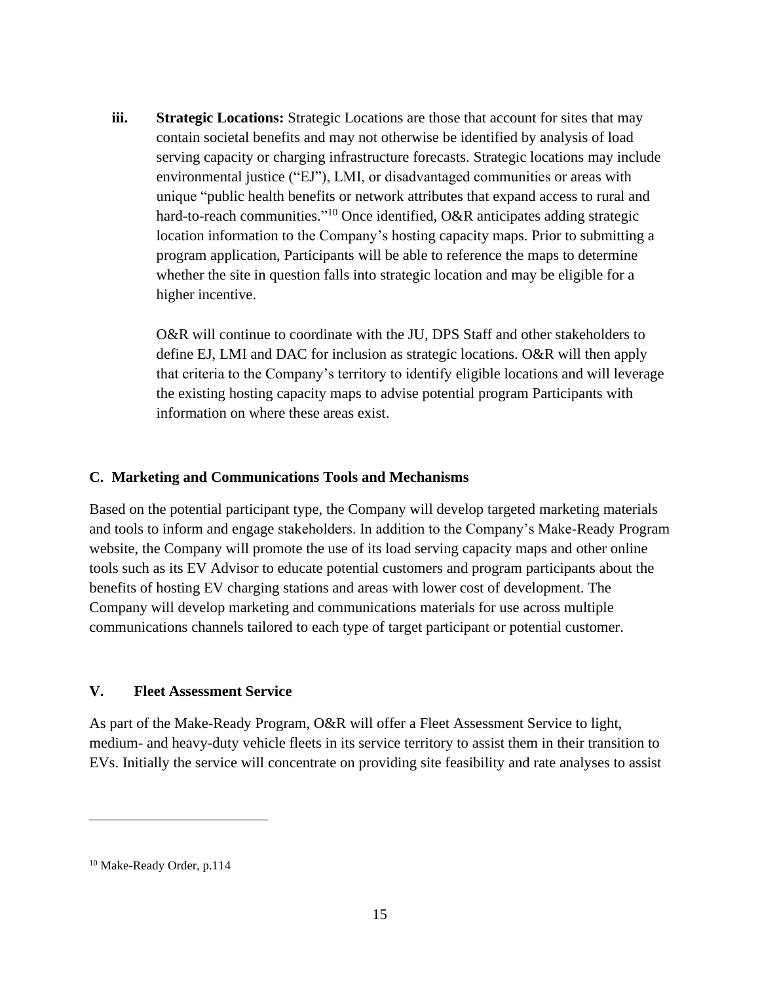<span id="page-15-0"></span>**iii. Strategic Locations:** Strategic Locations are those that account for sites that may contain societal benefits and may not otherwise be identified by analysis of load serving capacity or charging infrastructure forecasts. Strategic locations may include environmental justice ("EJ"), LMI, or disadvantaged communities or areas with unique "public health benefits or network attributes that expand access to rural and hard-to-reach communities."<sup>10</sup> Once identified, O&R anticipates adding strategic location information to the Company's hosting capacity maps. Prior to submitting a program application, Participants will be able to reference the maps to determine whether the site in question falls into strategic location and may be eligible for a higher incentive.

O&R will continue to coordinate with the JU, DPS Staff and other stakeholders to define EJ, LMI and DAC for inclusion as strategic locations. O&R will then apply that criteria to the Company's territory to identify eligible locations and will leverage the existing hosting capacity maps to advise potential program Participants with information on where these areas exist.

#### <span id="page-15-1"></span>**C. Marketing and Communications Tools and Mechanisms**

Based on the potential participant type, the Company will develop targeted marketing materials and tools to inform and engage stakeholders. In addition to the Company's Make-Ready Program website, the Company will promote the use of its load serving capacity maps and other online tools such as its EV Advisor to educate potential customers and program participants about the benefits of hosting EV charging stations and areas with lower cost of development. The Company will develop marketing and communications materials for use across multiple communications channels tailored to each type of target participant or potential customer.

#### <span id="page-15-2"></span>**V. Fleet Assessment Service**

As part of the Make-Ready Program, O&R will offer a Fleet Assessment Service to light, medium- and heavy-duty vehicle fleets in its service territory to assist them in their transition to EVs. Initially the service will concentrate on providing site feasibility and rate analyses to assist

<sup>10</sup> Make-Ready Order, p.114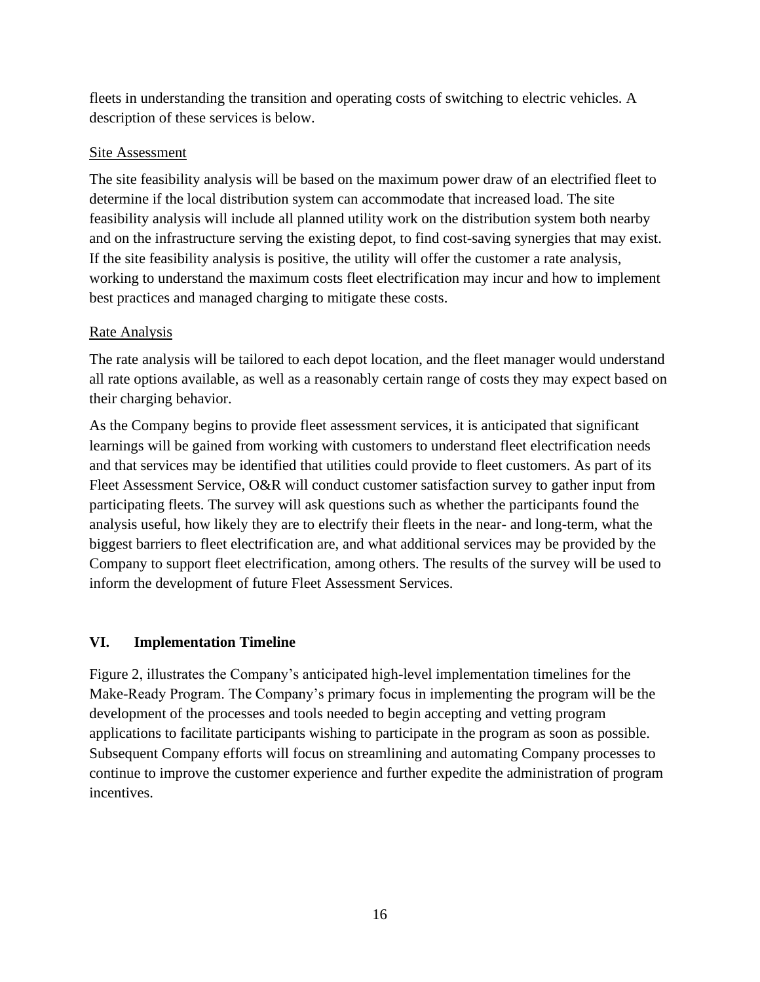fleets in understanding the transition and operating costs of switching to electric vehicles. A description of these services is below.

## Site Assessment

The site feasibility analysis will be based on the maximum power draw of an electrified fleet to determine if the local distribution system can accommodate that increased load. The site feasibility analysis will include all planned utility work on the distribution system both nearby and on the infrastructure serving the existing depot, to find cost-saving synergies that may exist. If the site feasibility analysis is positive, the utility will offer the customer a rate analysis, working to understand the maximum costs fleet electrification may incur and how to implement best practices and managed charging to mitigate these costs.

# Rate Analysis

The rate analysis will be tailored to each depot location, and the fleet manager would understand all rate options available, as well as a reasonably certain range of costs they may expect based on their charging behavior.

As the Company begins to provide fleet assessment services, it is anticipated that significant learnings will be gained from working with customers to understand fleet electrification needs and that services may be identified that utilities could provide to fleet customers. As part of its Fleet Assessment Service, O&R will conduct customer satisfaction survey to gather input from participating fleets. The survey will ask questions such as whether the participants found the analysis useful, how likely they are to electrify their fleets in the near- and long-term, what the biggest barriers to fleet electrification are, and what additional services may be provided by the Company to support fleet electrification, among others. The results of the survey will be used to inform the development of future Fleet Assessment Services.

# <span id="page-16-0"></span>**VI. Implementation Timeline**

Figure 2, illustrates the Company's anticipated high-level implementation timelines for the Make-Ready Program. The Company's primary focus in implementing the program will be the development of the processes and tools needed to begin accepting and vetting program applications to facilitate participants wishing to participate in the program as soon as possible. Subsequent Company efforts will focus on streamlining and automating Company processes to continue to improve the customer experience and further expedite the administration of program incentives.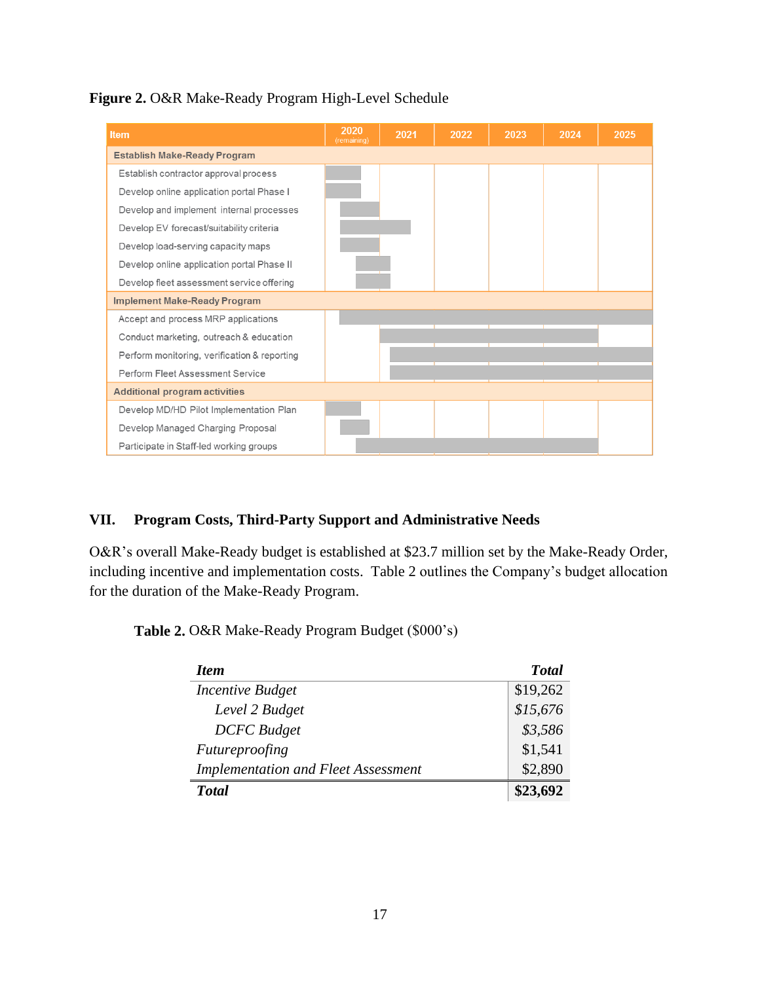

| <b>Item</b>                                  | 2020<br>(remaining) | 2021 | 2022 | 2023 | 2024 | 2025 |
|----------------------------------------------|---------------------|------|------|------|------|------|
| <b>Establish Make-Ready Program</b>          |                     |      |      |      |      |      |
| Establish contractor approval process        |                     |      |      |      |      |      |
| Develop online application portal Phase I    |                     |      |      |      |      |      |
| Develop and implement internal processes     |                     |      |      |      |      |      |
| Develop EV forecast/suitability criteria     |                     |      |      |      |      |      |
| Develop load-serving capacity maps           |                     |      |      |      |      |      |
| Develop online application portal Phase II   |                     |      |      |      |      |      |
| Develop fleet assessment service offering    |                     |      |      |      |      |      |
| <b>Implement Make-Ready Program</b>          |                     |      |      |      |      |      |
| Accept and process MRP applications          |                     |      |      |      |      |      |
| Conduct marketing, outreach & education      |                     |      |      |      |      |      |
| Perform monitoring, verification & reporting |                     |      |      |      |      |      |
| Perform Fleet Assessment Service             |                     |      |      |      |      |      |
| <b>Additional program activities</b>         |                     |      |      |      |      |      |
| Develop MD/HD Pilot Implementation Plan      |                     |      |      |      |      |      |
| Develop Managed Charging Proposal            |                     |      |      |      |      |      |
| Participate in Staff-led working groups      |                     |      |      |      |      |      |

#### <span id="page-17-0"></span>**VII. Program Costs, Third-Party Support and Administrative Needs**

O&R's overall Make-Ready budget is established at \$23.7 million set by the Make-Ready Order, including incentive and implementation costs. Table 2 outlines the Company's budget allocation for the duration of the Make-Ready Program.

**Table 2.** O&R Make-Ready Program Budget (\$000's)

| <b>Item</b>                                | <b>Total</b> |
|--------------------------------------------|--------------|
| Incentive Budget                           | \$19,262     |
| Level 2 Budget                             | \$15,676     |
| <b>DCFC</b> Budget                         | \$3,586      |
| Futureproofing                             | \$1,541      |
| <b>Implementation and Fleet Assessment</b> | \$2,890      |
| <b>T</b> otal                              | \$23,692     |